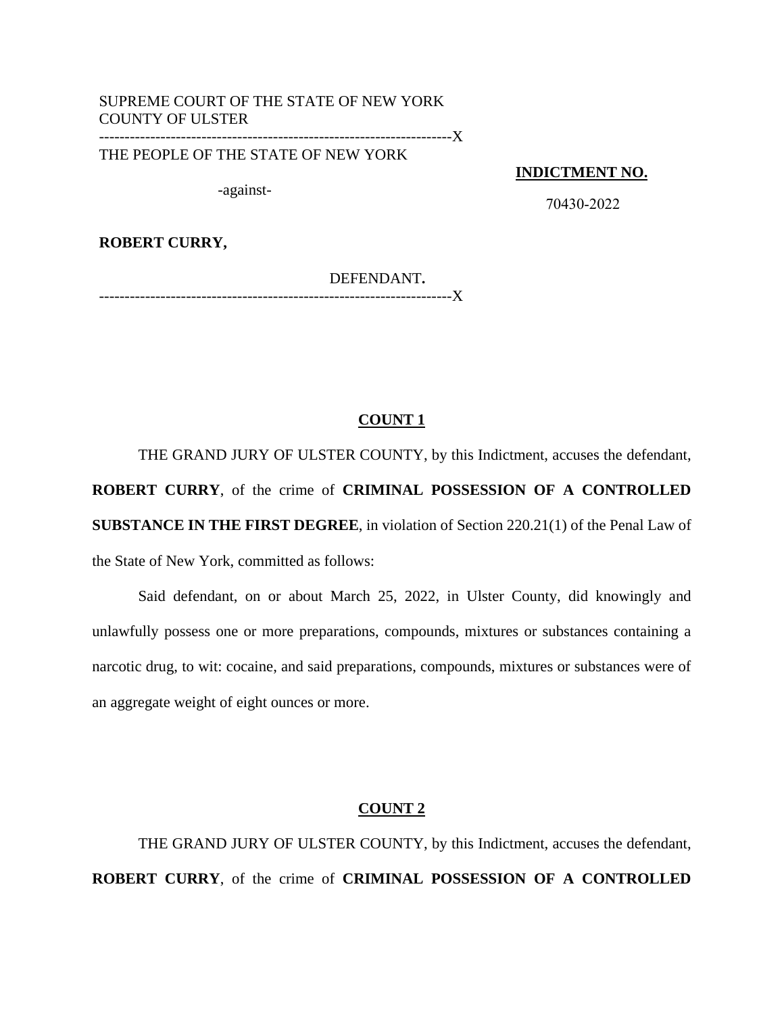# SUPREME COURT OF THE STATE OF NEW YORK COUNTY OF ULSTER

---------------------------------------------------------------------X

THE PEOPLE OF THE STATE OF NEW YORK

**INDICTMENT NO.**

-against-

70430-2022

**ROBERT CURRY,**

DEFENDANT**.**

---------------------------------------------------------------------X

## **COUNT 1**

THE GRAND JURY OF ULSTER COUNTY, by this Indictment, accuses the defendant, **ROBERT CURRY**, of the crime of **CRIMINAL POSSESSION OF A CONTROLLED SUBSTANCE IN THE FIRST DEGREE**, in violation of Section 220.21(1) of the Penal Law of the State of New York, committed as follows:

Said defendant, on or about March 25, 2022, in Ulster County, did knowingly and unlawfully possess one or more preparations, compounds, mixtures or substances containing a narcotic drug, to wit: cocaine, and said preparations, compounds, mixtures or substances were of an aggregate weight of eight ounces or more.

#### **COUNT 2**

THE GRAND JURY OF ULSTER COUNTY, by this Indictment, accuses the defendant, **ROBERT CURRY**, of the crime of **CRIMINAL POSSESSION OF A CONTROLLED**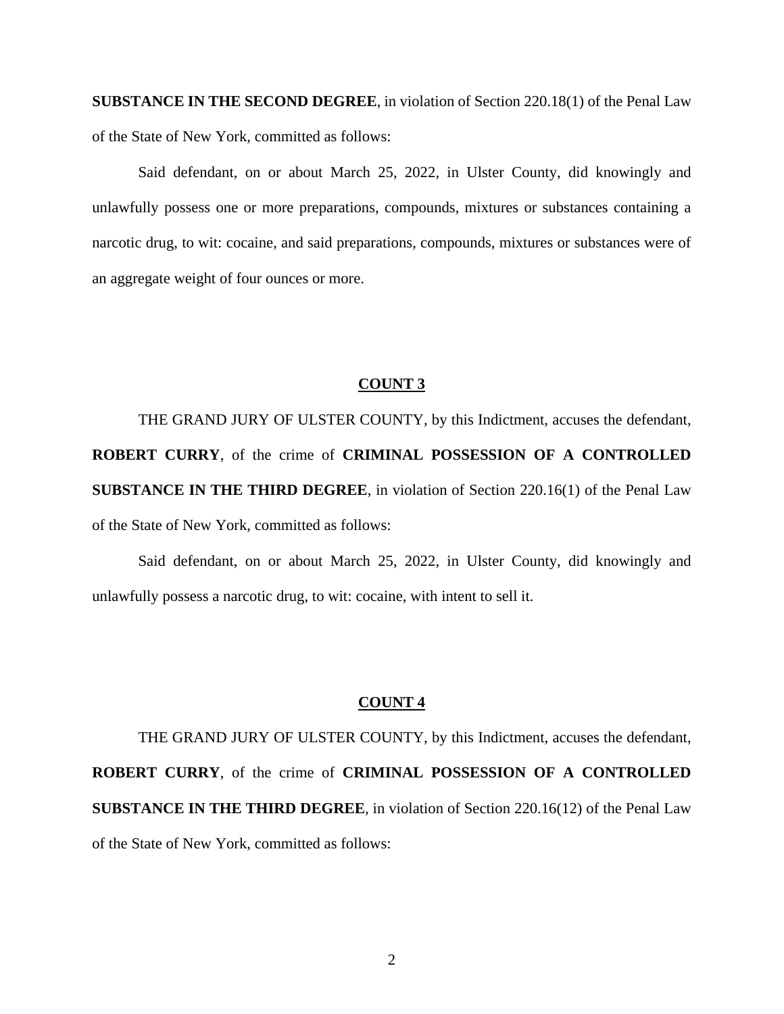**SUBSTANCE IN THE SECOND DEGREE**, in violation of Section 220.18(1) of the Penal Law of the State of New York, committed as follows:

Said defendant, on or about March 25, 2022, in Ulster County, did knowingly and unlawfully possess one or more preparations, compounds, mixtures or substances containing a narcotic drug, to wit: cocaine, and said preparations, compounds, mixtures or substances were of an aggregate weight of four ounces or more.

### **COUNT 3**

THE GRAND JURY OF ULSTER COUNTY, by this Indictment, accuses the defendant, **ROBERT CURRY**, of the crime of **CRIMINAL POSSESSION OF A CONTROLLED SUBSTANCE IN THE THIRD DEGREE**, in violation of Section 220.16(1) of the Penal Law of the State of New York, committed as follows:

Said defendant, on or about March 25, 2022, in Ulster County, did knowingly and unlawfully possess a narcotic drug, to wit: cocaine, with intent to sell it.

#### **COUNT 4**

THE GRAND JURY OF ULSTER COUNTY, by this Indictment, accuses the defendant, **ROBERT CURRY**, of the crime of **CRIMINAL POSSESSION OF A CONTROLLED SUBSTANCE IN THE THIRD DEGREE**, in violation of Section 220.16(12) of the Penal Law of the State of New York, committed as follows: